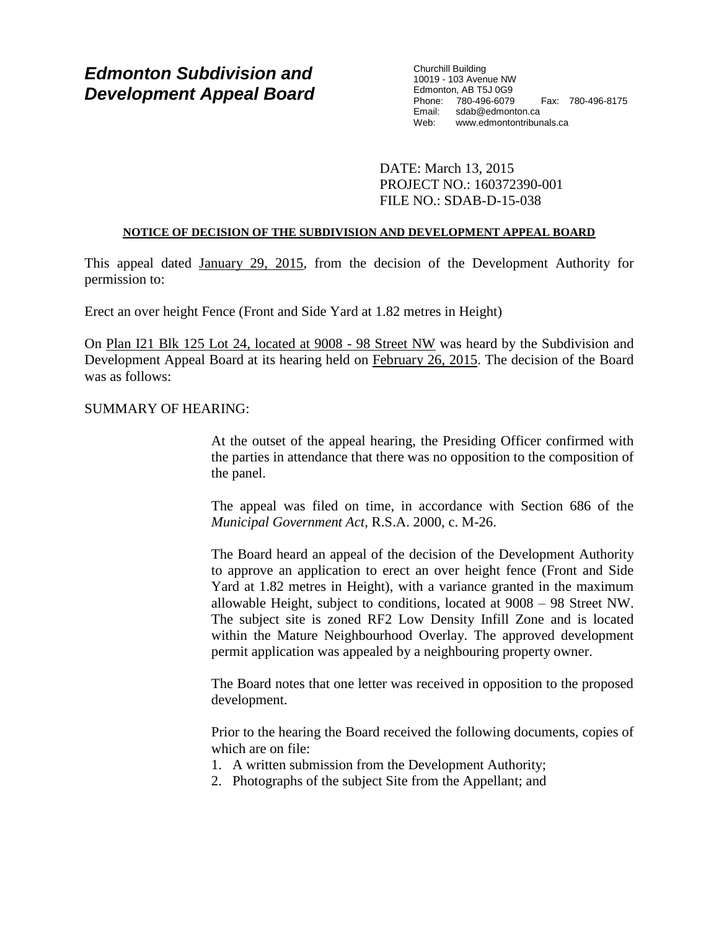# *Edmonton Subdivision and Development Appeal Board*

Churchill Building 10019 - 103 Avenue NW Edmonton, AB T5J 0G9 Phone: 780-496-6079 Fax: 780-496-8175 Email: sdab@edmonton.ca Web: www.edmontontribunals.ca

DATE: March 13, 2015 PROJECT NO.: 160372390-001 FILE NO.: SDAB-D-15-038

## **NOTICE OF DECISION OF THE SUBDIVISION AND DEVELOPMENT APPEAL BOARD**

This appeal dated January 29, 2015, from the decision of the Development Authority for permission to:

Erect an over height Fence (Front and Side Yard at 1.82 metres in Height)

On Plan I21 Blk 125 Lot 24, located at 9008 - 98 Street NW was heard by the Subdivision and Development Appeal Board at its hearing held on February 26, 2015. The decision of the Board was as follows:

## SUMMARY OF HEARING:

At the outset of the appeal hearing, the Presiding Officer confirmed with the parties in attendance that there was no opposition to the composition of the panel.

The appeal was filed on time, in accordance with Section 686 of the *Municipal Government Act*, R.S.A. 2000, c. M-26.

The Board heard an appeal of the decision of the Development Authority to approve an application to erect an over height fence (Front and Side Yard at 1.82 metres in Height), with a variance granted in the maximum allowable Height, subject to conditions, located at 9008 – 98 Street NW. The subject site is zoned RF2 Low Density Infill Zone and is located within the Mature Neighbourhood Overlay. The approved development permit application was appealed by a neighbouring property owner.

The Board notes that one letter was received in opposition to the proposed development.

Prior to the hearing the Board received the following documents, copies of which are on file:

- 1. A written submission from the Development Authority;
- 2. Photographs of the subject Site from the Appellant; and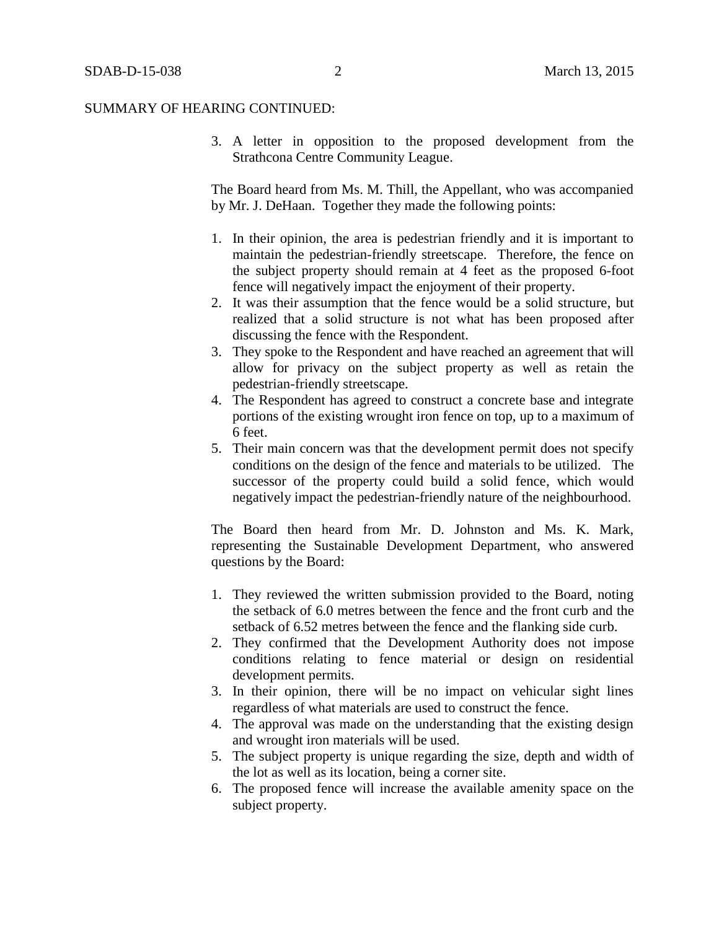3. A letter in opposition to the proposed development from the Strathcona Centre Community League.

The Board heard from Ms. M. Thill, the Appellant, who was accompanied by Mr. J. DeHaan. Together they made the following points:

- 1. In their opinion, the area is pedestrian friendly and it is important to maintain the pedestrian-friendly streetscape. Therefore, the fence on the subject property should remain at 4 feet as the proposed 6-foot fence will negatively impact the enjoyment of their property.
- 2. It was their assumption that the fence would be a solid structure, but realized that a solid structure is not what has been proposed after discussing the fence with the Respondent.
- 3. They spoke to the Respondent and have reached an agreement that will allow for privacy on the subject property as well as retain the pedestrian-friendly streetscape.
- 4. The Respondent has agreed to construct a concrete base and integrate portions of the existing wrought iron fence on top, up to a maximum of 6 feet.
- 5. Their main concern was that the development permit does not specify conditions on the design of the fence and materials to be utilized. The successor of the property could build a solid fence, which would negatively impact the pedestrian-friendly nature of the neighbourhood.

The Board then heard from Mr. D. Johnston and Ms. K. Mark, representing the Sustainable Development Department, who answered questions by the Board:

- 1. They reviewed the written submission provided to the Board, noting the setback of 6.0 metres between the fence and the front curb and the setback of 6.52 metres between the fence and the flanking side curb.
- 2. They confirmed that the Development Authority does not impose conditions relating to fence material or design on residential development permits.
- 3. In their opinion, there will be no impact on vehicular sight lines regardless of what materials are used to construct the fence.
- 4. The approval was made on the understanding that the existing design and wrought iron materials will be used.
- 5. The subject property is unique regarding the size, depth and width of the lot as well as its location, being a corner site.
- 6. The proposed fence will increase the available amenity space on the subject property.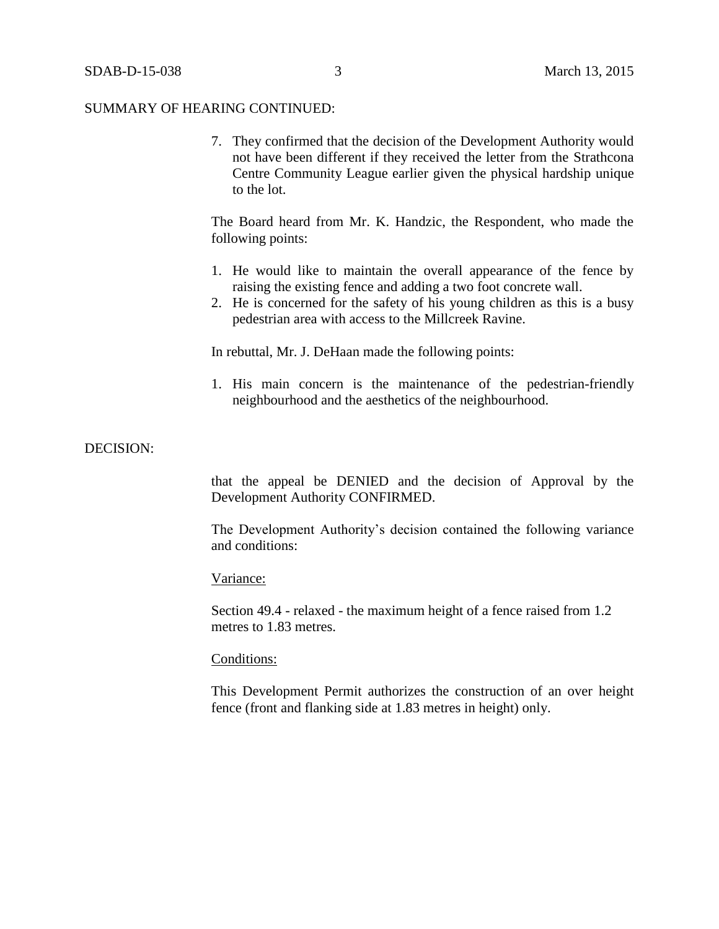7. They confirmed that the decision of the Development Authority would not have been different if they received the letter from the Strathcona Centre Community League earlier given the physical hardship unique to the lot.

The Board heard from Mr. K. Handzic, the Respondent, who made the following points:

- 1. He would like to maintain the overall appearance of the fence by raising the existing fence and adding a two foot concrete wall.
- 2. He is concerned for the safety of his young children as this is a busy pedestrian area with access to the Millcreek Ravine.

In rebuttal, Mr. J. DeHaan made the following points:

1. His main concern is the maintenance of the pedestrian-friendly neighbourhood and the aesthetics of the neighbourhood.

## DECISION:

that the appeal be DENIED and the decision of Approval by the Development Authority CONFIRMED.

The Development Authority's decision contained the following variance and conditions:

#### Variance:

Section 49.4 - relaxed - the maximum height of a fence raised from 1.2 metres to 1.83 metres.

### Conditions:

This Development Permit authorizes the construction of an over height fence (front and flanking side at 1.83 metres in height) only.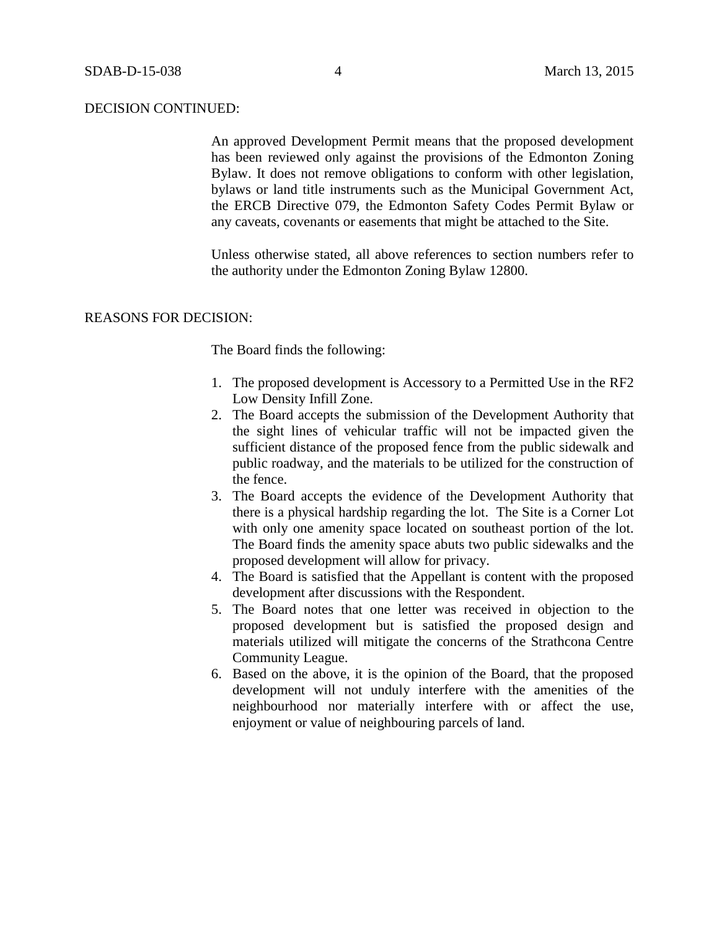An approved Development Permit means that the proposed development has been reviewed only against the provisions of the Edmonton Zoning Bylaw. It does not remove obligations to conform with other legislation, bylaws or land title instruments such as the Municipal Government Act, the ERCB Directive 079, the Edmonton Safety Codes Permit Bylaw or any caveats, covenants or easements that might be attached to the Site.

Unless otherwise stated, all above references to section numbers refer to the authority under the Edmonton Zoning Bylaw 12800.

## REASONS FOR DECISION:

The Board finds the following:

- 1. The proposed development is Accessory to a Permitted Use in the RF2 Low Density Infill Zone.
- 2. The Board accepts the submission of the Development Authority that the sight lines of vehicular traffic will not be impacted given the sufficient distance of the proposed fence from the public sidewalk and public roadway, and the materials to be utilized for the construction of the fence.
- 3. The Board accepts the evidence of the Development Authority that there is a physical hardship regarding the lot. The Site is a Corner Lot with only one amenity space located on southeast portion of the lot. The Board finds the amenity space abuts two public sidewalks and the proposed development will allow for privacy.
- 4. The Board is satisfied that the Appellant is content with the proposed development after discussions with the Respondent.
- 5. The Board notes that one letter was received in objection to the proposed development but is satisfied the proposed design and materials utilized will mitigate the concerns of the Strathcona Centre Community League.
- 6. Based on the above, it is the opinion of the Board, that the proposed development will not unduly interfere with the amenities of the neighbourhood nor materially interfere with or affect the use, enjoyment or value of neighbouring parcels of land.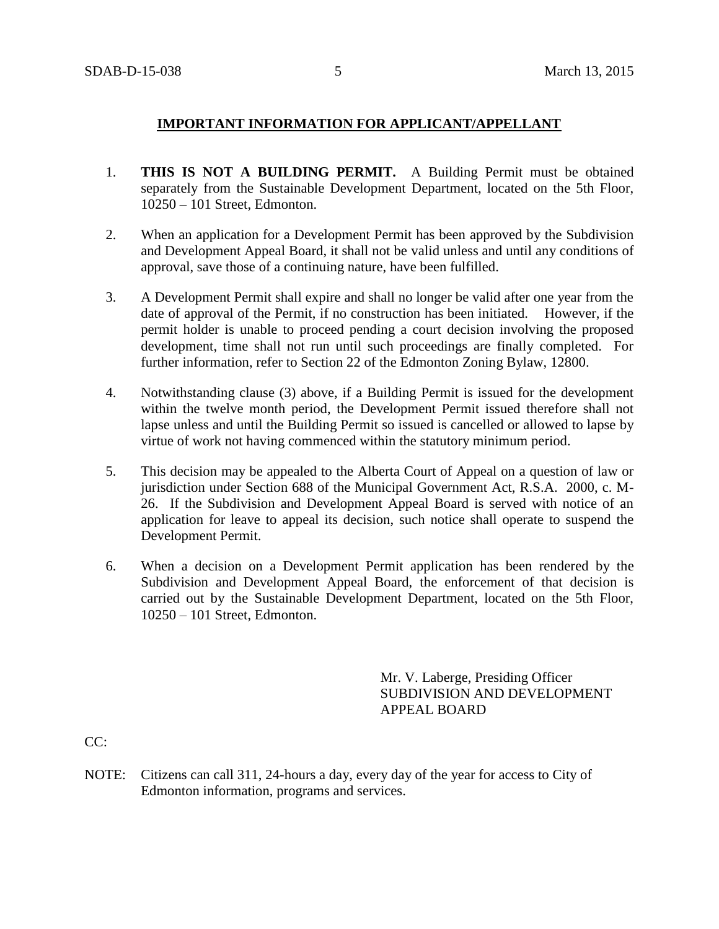# **IMPORTANT INFORMATION FOR APPLICANT/APPELLANT**

- 1. **THIS IS NOT A BUILDING PERMIT.** A Building Permit must be obtained separately from the Sustainable Development Department, located on the 5th Floor, 10250 – 101 Street, Edmonton.
- 2. When an application for a Development Permit has been approved by the Subdivision and Development Appeal Board, it shall not be valid unless and until any conditions of approval, save those of a continuing nature, have been fulfilled.
- 3. A Development Permit shall expire and shall no longer be valid after one year from the date of approval of the Permit, if no construction has been initiated. However, if the permit holder is unable to proceed pending a court decision involving the proposed development, time shall not run until such proceedings are finally completed. For further information, refer to Section 22 of the Edmonton Zoning Bylaw, 12800.
- 4. Notwithstanding clause (3) above, if a Building Permit is issued for the development within the twelve month period, the Development Permit issued therefore shall not lapse unless and until the Building Permit so issued is cancelled or allowed to lapse by virtue of work not having commenced within the statutory minimum period.
- 5. This decision may be appealed to the Alberta Court of Appeal on a question of law or jurisdiction under Section 688 of the Municipal Government Act, R.S.A. 2000, c. M-26. If the Subdivision and Development Appeal Board is served with notice of an application for leave to appeal its decision, such notice shall operate to suspend the Development Permit.
- 6. When a decision on a Development Permit application has been rendered by the Subdivision and Development Appeal Board, the enforcement of that decision is carried out by the Sustainable Development Department, located on the 5th Floor, 10250 – 101 Street, Edmonton.

Mr. V. Laberge, Presiding Officer SUBDIVISION AND DEVELOPMENT APPEAL BOARD

CC:

NOTE: Citizens can call 311, 24-hours a day, every day of the year for access to City of Edmonton information, programs and services.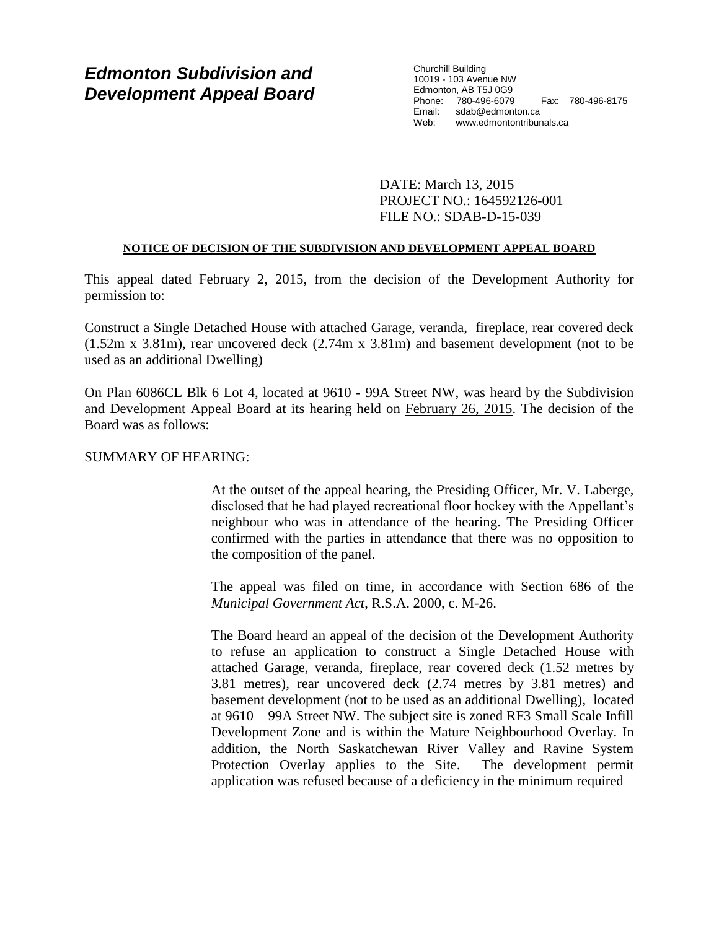# *Edmonton Subdivision and Development Appeal Board*

Churchill Building 10019 - 103 Avenue NW Edmonton, AB T5J 0G9 Phone: 780-496-6079 Fax: 780-496-8175 Email: sdab@edmonton.ca<br>Web: www.edmontontribut Web: www.edmontontribunals.ca

DATE: March 13, 2015 PROJECT NO.: 164592126-001 FILE NO.: SDAB-D-15-039

## **NOTICE OF DECISION OF THE SUBDIVISION AND DEVELOPMENT APPEAL BOARD**

This appeal dated February 2, 2015, from the decision of the Development Authority for permission to:

Construct a Single Detached House with attached Garage, veranda, fireplace, rear covered deck (1.52m x 3.81m), rear uncovered deck (2.74m x 3.81m) and basement development (not to be used as an additional Dwelling)

On Plan 6086CL Blk 6 Lot 4, located at 9610 - 99A Street NW, was heard by the Subdivision and Development Appeal Board at its hearing held on February 26, 2015. The decision of the Board was as follows:

## SUMMARY OF HEARING:

At the outset of the appeal hearing, the Presiding Officer, Mr. V. Laberge, disclosed that he had played recreational floor hockey with the Appellant's neighbour who was in attendance of the hearing. The Presiding Officer confirmed with the parties in attendance that there was no opposition to the composition of the panel.

The appeal was filed on time, in accordance with Section 686 of the *Municipal Government Act*, R.S.A. 2000, c. M-26.

The Board heard an appeal of the decision of the Development Authority to refuse an application to construct a Single Detached House with attached Garage, veranda, fireplace, rear covered deck (1.52 metres by 3.81 metres), rear uncovered deck (2.74 metres by 3.81 metres) and basement development (not to be used as an additional Dwelling), located at 9610 – 99A Street NW. The subject site is zoned RF3 Small Scale Infill Development Zone and is within the Mature Neighbourhood Overlay. In addition, the North Saskatchewan River Valley and Ravine System Protection Overlay applies to the Site. The development permit application was refused because of a deficiency in the minimum required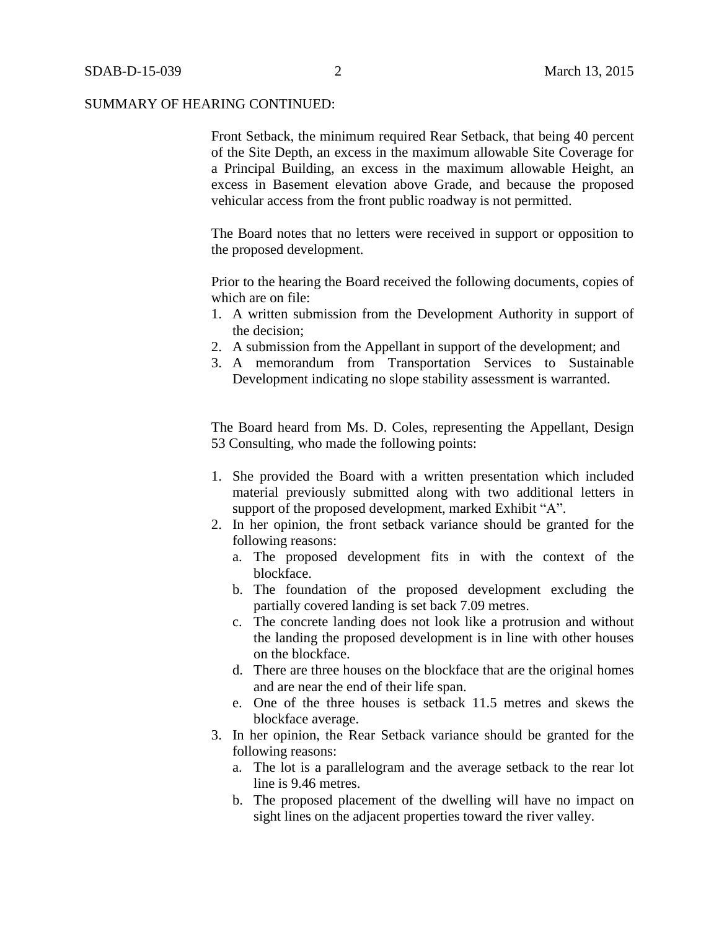Front Setback, the minimum required Rear Setback, that being 40 percent of the Site Depth, an excess in the maximum allowable Site Coverage for a Principal Building, an excess in the maximum allowable Height, an excess in Basement elevation above Grade, and because the proposed vehicular access from the front public roadway is not permitted.

The Board notes that no letters were received in support or opposition to the proposed development.

Prior to the hearing the Board received the following documents, copies of which are on file:

- 1. A written submission from the Development Authority in support of the decision;
- 2. A submission from the Appellant in support of the development; and
- 3. A memorandum from Transportation Services to Sustainable Development indicating no slope stability assessment is warranted.

The Board heard from Ms. D. Coles, representing the Appellant, Design 53 Consulting, who made the following points:

- 1. She provided the Board with a written presentation which included material previously submitted along with two additional letters in support of the proposed development, marked Exhibit "A".
- 2. In her opinion, the front setback variance should be granted for the following reasons:
	- a. The proposed development fits in with the context of the blockface.
	- b. The foundation of the proposed development excluding the partially covered landing is set back 7.09 metres.
	- c. The concrete landing does not look like a protrusion and without the landing the proposed development is in line with other houses on the blockface.
	- d. There are three houses on the blockface that are the original homes and are near the end of their life span.
	- e. One of the three houses is setback 11.5 metres and skews the blockface average.
- 3. In her opinion, the Rear Setback variance should be granted for the following reasons:
	- a. The lot is a parallelogram and the average setback to the rear lot line is 9.46 metres.
	- b. The proposed placement of the dwelling will have no impact on sight lines on the adjacent properties toward the river valley.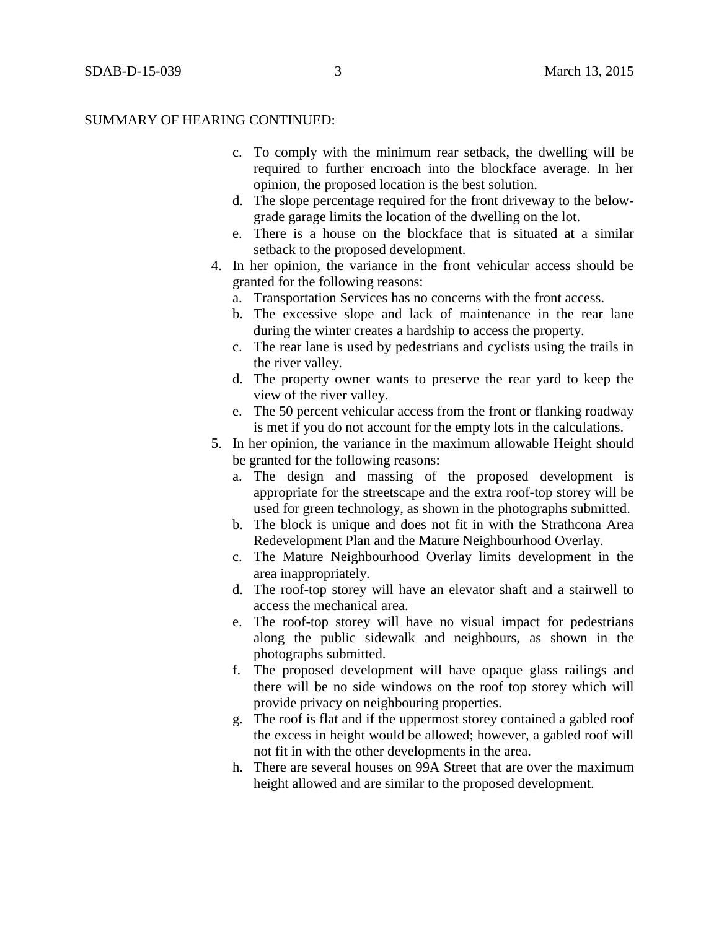- c. To comply with the minimum rear setback, the dwelling will be required to further encroach into the blockface average. In her opinion, the proposed location is the best solution.
- d. The slope percentage required for the front driveway to the belowgrade garage limits the location of the dwelling on the lot.
- e. There is a house on the blockface that is situated at a similar setback to the proposed development.
- 4. In her opinion, the variance in the front vehicular access should be granted for the following reasons:
	- a. Transportation Services has no concerns with the front access.
	- b. The excessive slope and lack of maintenance in the rear lane during the winter creates a hardship to access the property.
	- c. The rear lane is used by pedestrians and cyclists using the trails in the river valley.
	- d. The property owner wants to preserve the rear yard to keep the view of the river valley.
	- e. The 50 percent vehicular access from the front or flanking roadway is met if you do not account for the empty lots in the calculations.
- 5. In her opinion, the variance in the maximum allowable Height should be granted for the following reasons:
	- a. The design and massing of the proposed development is appropriate for the streetscape and the extra roof-top storey will be used for green technology, as shown in the photographs submitted.
	- b. The block is unique and does not fit in with the Strathcona Area Redevelopment Plan and the Mature Neighbourhood Overlay.
	- c. The Mature Neighbourhood Overlay limits development in the area inappropriately.
	- d. The roof-top storey will have an elevator shaft and a stairwell to access the mechanical area.
	- e. The roof-top storey will have no visual impact for pedestrians along the public sidewalk and neighbours, as shown in the photographs submitted.
	- f. The proposed development will have opaque glass railings and there will be no side windows on the roof top storey which will provide privacy on neighbouring properties.
	- g. The roof is flat and if the uppermost storey contained a gabled roof the excess in height would be allowed; however, a gabled roof will not fit in with the other developments in the area.
	- h. There are several houses on 99A Street that are over the maximum height allowed and are similar to the proposed development.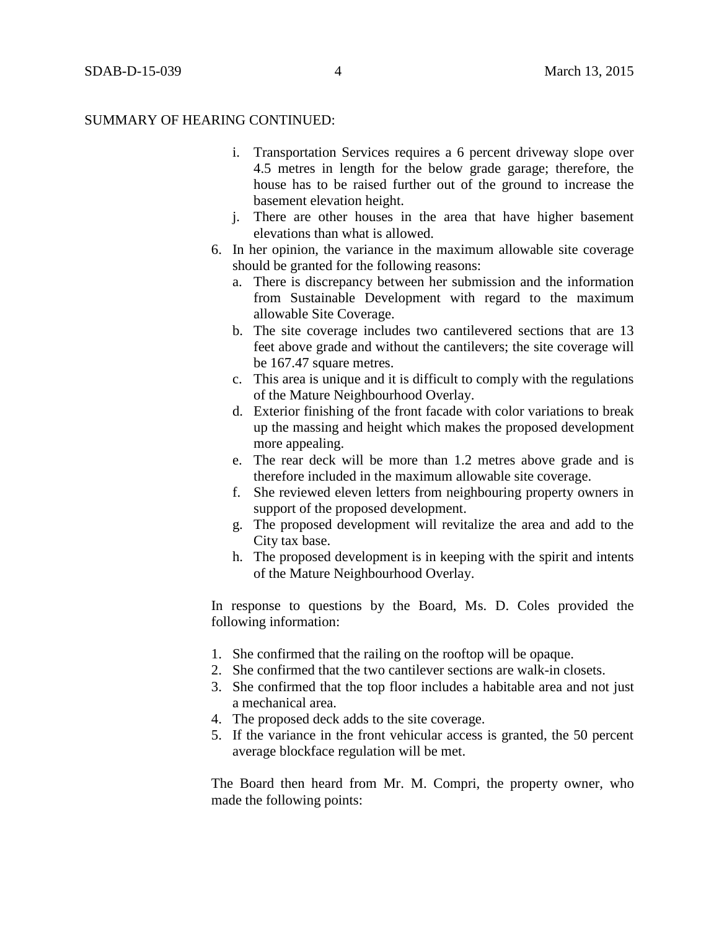- i. Transportation Services requires a 6 percent driveway slope over 4.5 metres in length for the below grade garage; therefore, the house has to be raised further out of the ground to increase the basement elevation height.
- j. There are other houses in the area that have higher basement elevations than what is allowed.
- 6. In her opinion, the variance in the maximum allowable site coverage should be granted for the following reasons:
	- a. There is discrepancy between her submission and the information from Sustainable Development with regard to the maximum allowable Site Coverage.
	- b. The site coverage includes two cantilevered sections that are 13 feet above grade and without the cantilevers; the site coverage will be 167.47 square metres.
	- c. This area is unique and it is difficult to comply with the regulations of the Mature Neighbourhood Overlay.
	- d. Exterior finishing of the front facade with color variations to break up the massing and height which makes the proposed development more appealing.
	- e. The rear deck will be more than 1.2 metres above grade and is therefore included in the maximum allowable site coverage.
	- f. She reviewed eleven letters from neighbouring property owners in support of the proposed development.
	- g. The proposed development will revitalize the area and add to the City tax base.
	- h. The proposed development is in keeping with the spirit and intents of the Mature Neighbourhood Overlay.

In response to questions by the Board, Ms. D. Coles provided the following information:

- 1. She confirmed that the railing on the rooftop will be opaque.
- 2. She confirmed that the two cantilever sections are walk-in closets.
- 3. She confirmed that the top floor includes a habitable area and not just a mechanical area.
- 4. The proposed deck adds to the site coverage.
- 5. If the variance in the front vehicular access is granted, the 50 percent average blockface regulation will be met.

The Board then heard from Mr. M. Compri, the property owner, who made the following points: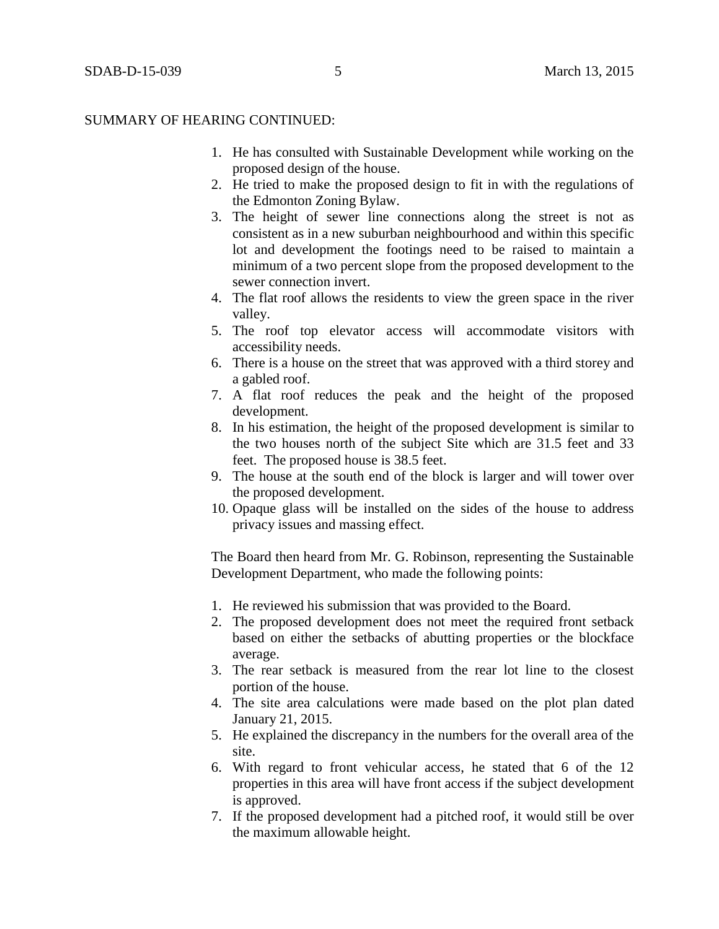- 1. He has consulted with Sustainable Development while working on the proposed design of the house.
- 2. He tried to make the proposed design to fit in with the regulations of the Edmonton Zoning Bylaw.
- 3. The height of sewer line connections along the street is not as consistent as in a new suburban neighbourhood and within this specific lot and development the footings need to be raised to maintain a minimum of a two percent slope from the proposed development to the sewer connection invert.
- 4. The flat roof allows the residents to view the green space in the river valley.
- 5. The roof top elevator access will accommodate visitors with accessibility needs.
- 6. There is a house on the street that was approved with a third storey and a gabled roof.
- 7. A flat roof reduces the peak and the height of the proposed development.
- 8. In his estimation, the height of the proposed development is similar to the two houses north of the subject Site which are 31.5 feet and 33 feet. The proposed house is 38.5 feet.
- 9. The house at the south end of the block is larger and will tower over the proposed development.
- 10. Opaque glass will be installed on the sides of the house to address privacy issues and massing effect.

The Board then heard from Mr. G. Robinson, representing the Sustainable Development Department, who made the following points:

- 1. He reviewed his submission that was provided to the Board.
- 2. The proposed development does not meet the required front setback based on either the setbacks of abutting properties or the blockface average.
- 3. The rear setback is measured from the rear lot line to the closest portion of the house.
- 4. The site area calculations were made based on the plot plan dated January 21, 2015.
- 5. He explained the discrepancy in the numbers for the overall area of the site.
- 6. With regard to front vehicular access, he stated that 6 of the 12 properties in this area will have front access if the subject development is approved.
- 7. If the proposed development had a pitched roof, it would still be over the maximum allowable height.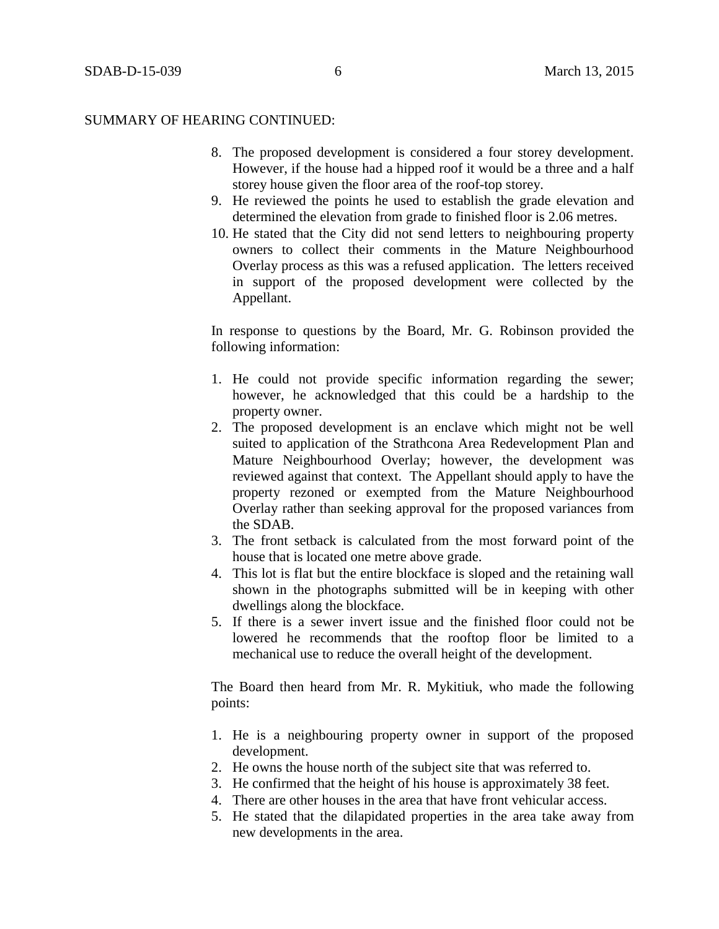- 8. The proposed development is considered a four storey development. However, if the house had a hipped roof it would be a three and a half storey house given the floor area of the roof-top storey.
- 9. He reviewed the points he used to establish the grade elevation and determined the elevation from grade to finished floor is 2.06 metres.
- 10. He stated that the City did not send letters to neighbouring property owners to collect their comments in the Mature Neighbourhood Overlay process as this was a refused application. The letters received in support of the proposed development were collected by the Appellant.

In response to questions by the Board, Mr. G. Robinson provided the following information:

- 1. He could not provide specific information regarding the sewer; however, he acknowledged that this could be a hardship to the property owner.
- 2. The proposed development is an enclave which might not be well suited to application of the Strathcona Area Redevelopment Plan and Mature Neighbourhood Overlay; however, the development was reviewed against that context. The Appellant should apply to have the property rezoned or exempted from the Mature Neighbourhood Overlay rather than seeking approval for the proposed variances from the SDAB.
- 3. The front setback is calculated from the most forward point of the house that is located one metre above grade.
- 4. This lot is flat but the entire blockface is sloped and the retaining wall shown in the photographs submitted will be in keeping with other dwellings along the blockface.
- 5. If there is a sewer invert issue and the finished floor could not be lowered he recommends that the rooftop floor be limited to a mechanical use to reduce the overall height of the development.

The Board then heard from Mr. R. Mykitiuk, who made the following points:

- 1. He is a neighbouring property owner in support of the proposed development.
- 2. He owns the house north of the subject site that was referred to.
- 3. He confirmed that the height of his house is approximately 38 feet.
- 4. There are other houses in the area that have front vehicular access.
- 5. He stated that the dilapidated properties in the area take away from new developments in the area.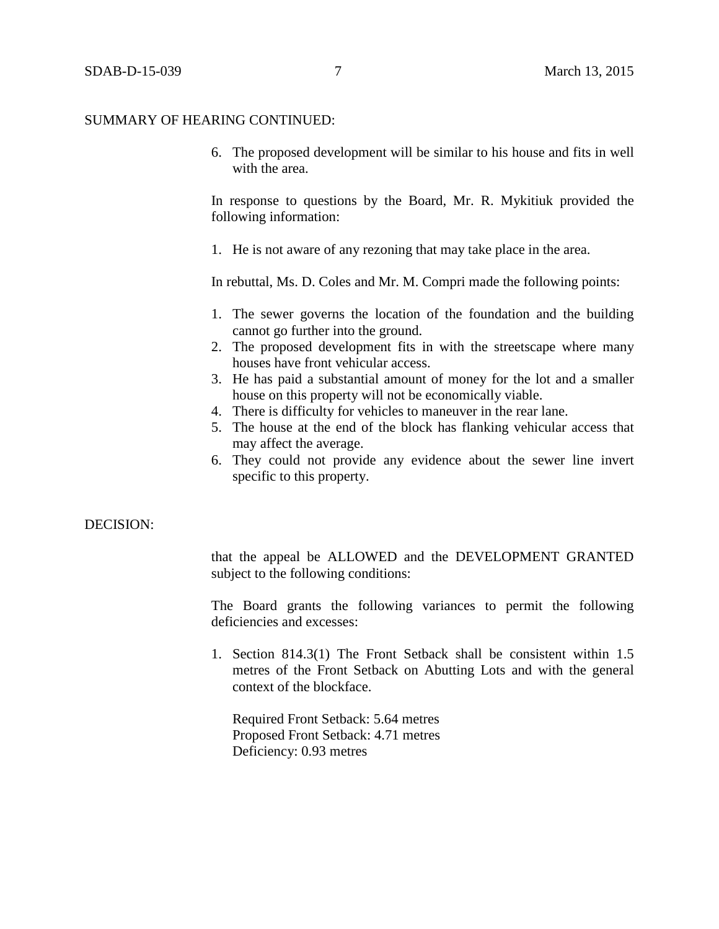6. The proposed development will be similar to his house and fits in well with the area.

In response to questions by the Board, Mr. R. Mykitiuk provided the following information:

1. He is not aware of any rezoning that may take place in the area.

In rebuttal, Ms. D. Coles and Mr. M. Compri made the following points:

- 1. The sewer governs the location of the foundation and the building cannot go further into the ground.
- 2. The proposed development fits in with the streetscape where many houses have front vehicular access.
- 3. He has paid a substantial amount of money for the lot and a smaller house on this property will not be economically viable.
- 4. There is difficulty for vehicles to maneuver in the rear lane.
- 5. The house at the end of the block has flanking vehicular access that may affect the average.
- 6. They could not provide any evidence about the sewer line invert specific to this property.

#### DECISION:

that the appeal be ALLOWED and the DEVELOPMENT GRANTED subject to the following conditions:

The Board grants the following variances to permit the following deficiencies and excesses:

1. Section 814.3(1) The Front Setback shall be consistent within 1.5 metres of the Front Setback on Abutting Lots and with the general context of the blockface.

Required Front Setback: 5.64 metres Proposed Front Setback: 4.71 metres Deficiency: 0.93 metres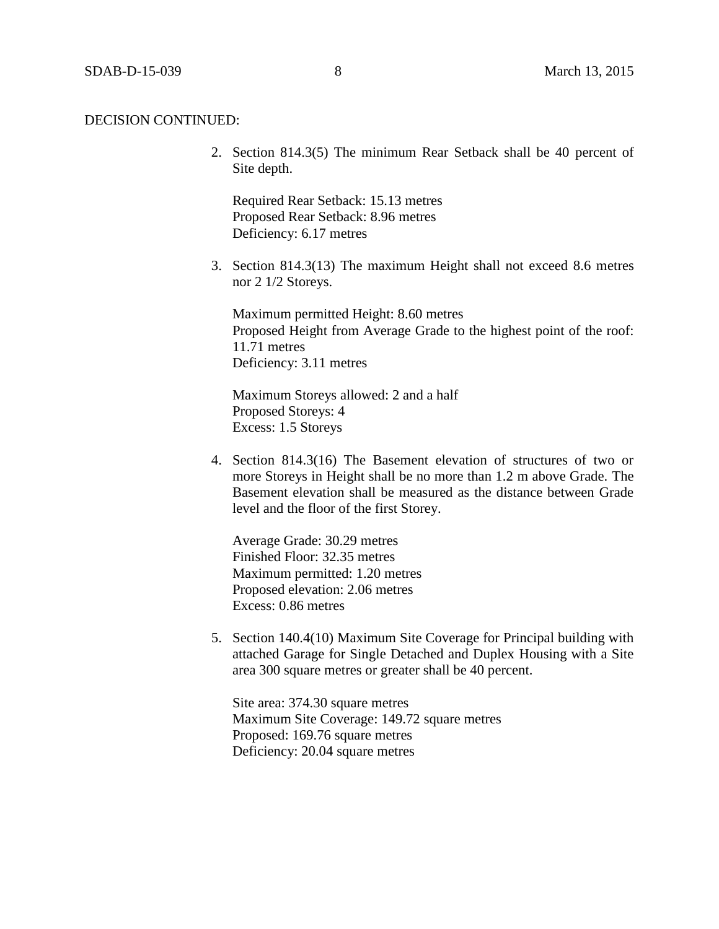2. Section 814.3(5) The minimum Rear Setback shall be 40 percent of Site depth.

Required Rear Setback: 15.13 metres Proposed Rear Setback: 8.96 metres Deficiency: 6.17 metres

3. Section 814.3(13) The maximum Height shall not exceed 8.6 metres nor 2 1/2 Storeys.

Maximum permitted Height: 8.60 metres Proposed Height from Average Grade to the highest point of the roof: 11.71 metres Deficiency: 3.11 metres

Maximum Storeys allowed: 2 and a half Proposed Storeys: 4 Excess: 1.5 Storeys

4. Section 814.3(16) The Basement elevation of structures of two or more Storeys in Height shall be no more than 1.2 m above Grade. The Basement elevation shall be measured as the distance between Grade level and the floor of the first Storey.

Average Grade: 30.29 metres Finished Floor: 32.35 metres Maximum permitted: 1.20 metres Proposed elevation: 2.06 metres Excess: 0.86 metres

5. Section 140.4(10) Maximum Site Coverage for Principal building with attached Garage for Single Detached and Duplex Housing with a Site area 300 square metres or greater shall be 40 percent.

Site area: 374.30 square metres Maximum Site Coverage: 149.72 square metres Proposed: 169.76 square metres Deficiency: 20.04 square metres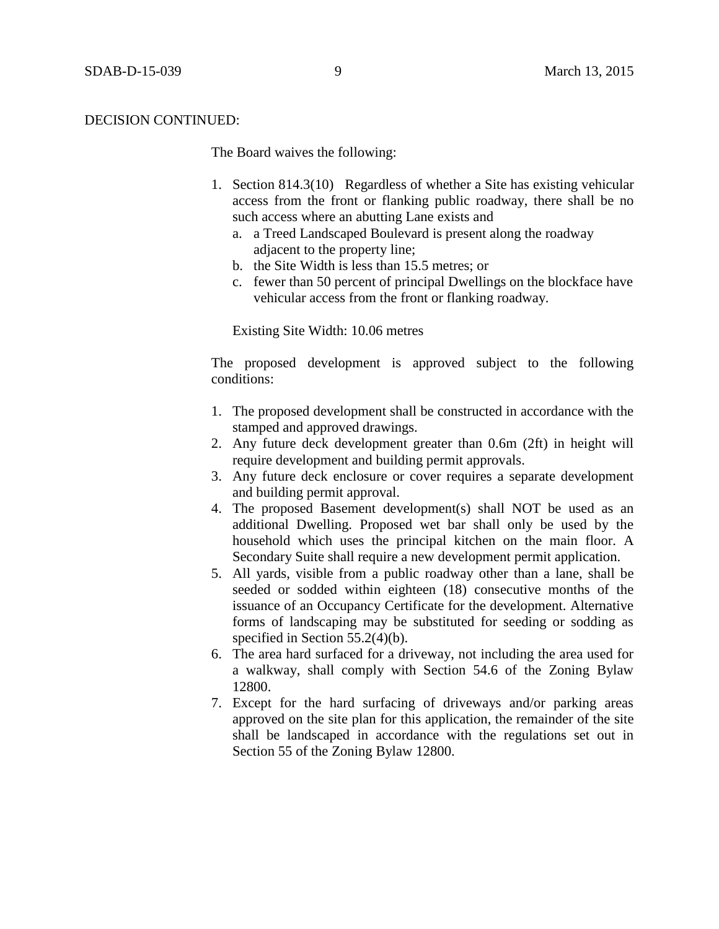The Board waives the following:

- 1. Section 814.3(10) Regardless of whether a Site has existing vehicular access from the front or flanking public roadway, there shall be no such access where an abutting Lane exists and
	- a. a Treed Landscaped Boulevard is present along the roadway adjacent to the property line;
	- b. the Site Width is less than 15.5 metres; or
	- c. fewer than 50 percent of principal Dwellings on the blockface have vehicular access from the front or flanking roadway.

Existing Site Width: 10.06 metres

The proposed development is approved subject to the following conditions:

- 1. The proposed development shall be constructed in accordance with the stamped and approved drawings.
- 2. Any future deck development greater than 0.6m (2ft) in height will require development and building permit approvals.
- 3. Any future deck enclosure or cover requires a separate development and building permit approval.
- 4. The proposed Basement development(s) shall NOT be used as an additional Dwelling. Proposed wet bar shall only be used by the household which uses the principal kitchen on the main floor. A Secondary Suite shall require a new development permit application.
- 5. All yards, visible from a public roadway other than a lane, shall be seeded or sodded within eighteen (18) consecutive months of the issuance of an Occupancy Certificate for the development. Alternative forms of landscaping may be substituted for seeding or sodding as specified in Section 55.2(4)(b).
- 6. The area hard surfaced for a driveway, not including the area used for a walkway, shall comply with Section 54.6 of the Zoning Bylaw 12800.
- 7. Except for the hard surfacing of driveways and/or parking areas approved on the site plan for this application, the remainder of the site shall be landscaped in accordance with the regulations set out in Section 55 of the Zoning Bylaw 12800.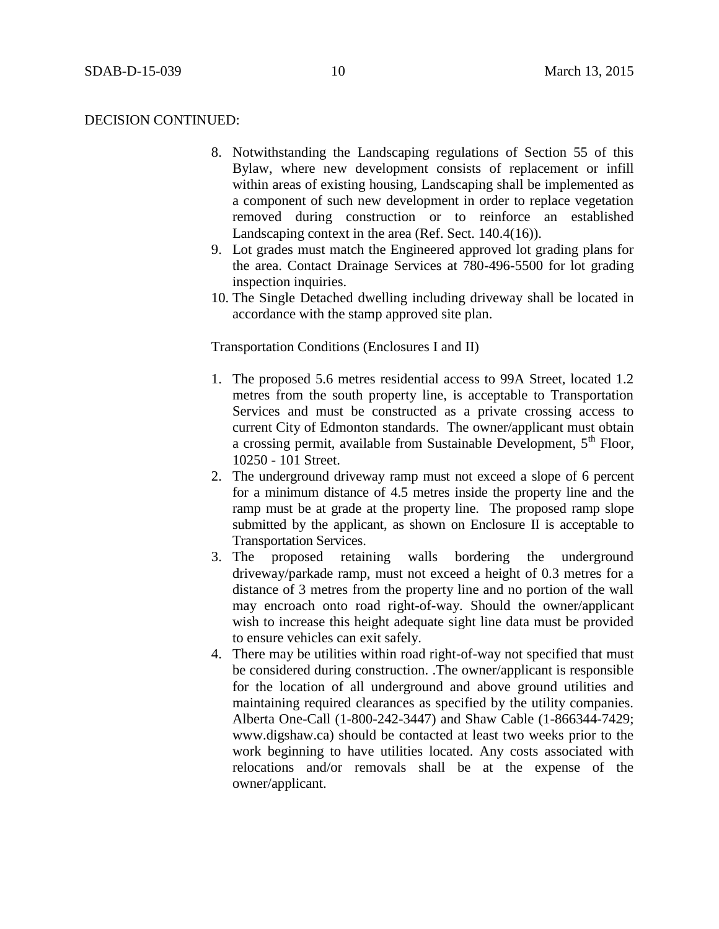- 8. Notwithstanding the Landscaping regulations of Section 55 of this Bylaw, where new development consists of replacement or infill within areas of existing housing, Landscaping shall be implemented as a component of such new development in order to replace vegetation removed during construction or to reinforce an established Landscaping context in the area (Ref. Sect. 140.4(16)).
- 9. Lot grades must match the Engineered approved lot grading plans for the area. Contact Drainage Services at 780-496-5500 for lot grading inspection inquiries.
- 10. The Single Detached dwelling including driveway shall be located in accordance with the stamp approved site plan.

Transportation Conditions (Enclosures I and II)

- 1. The proposed 5.6 metres residential access to 99A Street, located 1.2 metres from the south property line, is acceptable to Transportation Services and must be constructed as a private crossing access to current City of Edmonton standards. The owner/applicant must obtain a crossing permit, available from Sustainable Development, 5<sup>th</sup> Floor, 10250 - 101 Street.
- 2. The underground driveway ramp must not exceed a slope of 6 percent for a minimum distance of 4.5 metres inside the property line and the ramp must be at grade at the property line. The proposed ramp slope submitted by the applicant, as shown on Enclosure II is acceptable to Transportation Services.
- 3. The proposed retaining walls bordering the underground driveway/parkade ramp, must not exceed a height of 0.3 metres for a distance of 3 metres from the property line and no portion of the wall may encroach onto road right-of-way. Should the owner/applicant wish to increase this height adequate sight line data must be provided to ensure vehicles can exit safely.
- 4. There may be utilities within road right-of-way not specified that must be considered during construction. .The owner/applicant is responsible for the location of all underground and above ground utilities and maintaining required clearances as specified by the utility companies. Alberta One-Call (1-800-242-3447) and Shaw Cable (1-866344-7429; [www.digshaw.ca\)](http://www.digshaw.ca/) should be contacted at least two weeks prior to the work beginning to have utilities located. Any costs associated with relocations and/or removals shall be at the expense of the owner/applicant.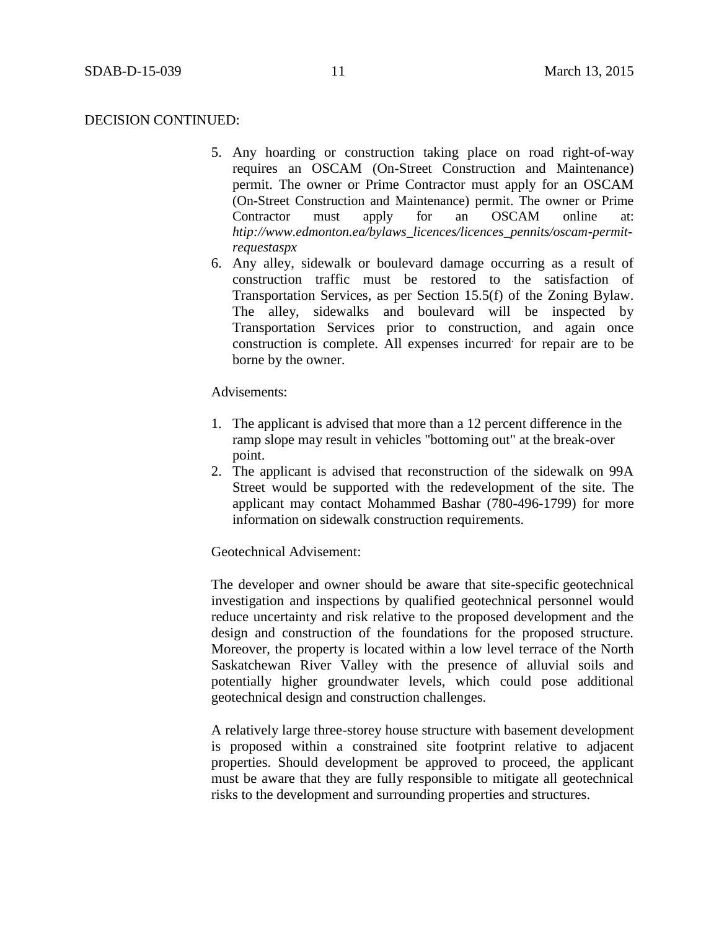- 5. Any hoarding or construction taking place on road right-of-way requires an OSCAM (On-Street Construction and Maintenance) permit. The owner or Prime Contractor must apply for an OSCAM (On-Street Construction and Maintenance) permit. The owner or Prime Contractor must apply for an OSCAM online at: *htip://www.edmonton.ea/bylaws\_licences/licences\_pennits/oscam-permitrequestaspx*
- 6. Any alley, sidewalk or boulevard damage occurring as a result of construction traffic must be restored to the satisfaction of Transportation Services, as per Section 15.5(f) of the Zoning Bylaw. The alley, sidewalks and boulevard will be inspected by Transportation Services prior to construction, and again once construction is complete. All expenses incurred for repair are to be borne by the owner.

### Advisements:

- 1. The applicant is advised that more than a 12 percent difference in the ramp slope may result in vehicles "bottoming out" at the break-over point.
- 2. The applicant is advised that reconstruction of the sidewalk on 99A Street would be supported with the redevelopment of the site. The applicant may contact Mohammed Bashar (780-496-1799) for more information on sidewalk construction requirements.

## Geotechnical Advisement:

The developer and owner should be aware that site-specific geotechnical investigation and inspections by qualified geotechnical personnel would reduce uncertainty and risk relative to the proposed development and the design and construction of the foundations for the proposed structure. Moreover, the property is located within a low level terrace of the North Saskatchewan River Valley with the presence of alluvial soils and potentially higher groundwater levels, which could pose additional geotechnical design and construction challenges.

A relatively large three-storey house structure with basement development is proposed within a constrained site footprint relative to adjacent properties. Should development be approved to proceed, the applicant must be aware that they are fully responsible to mitigate all geotechnical risks to the development and surrounding properties and structures.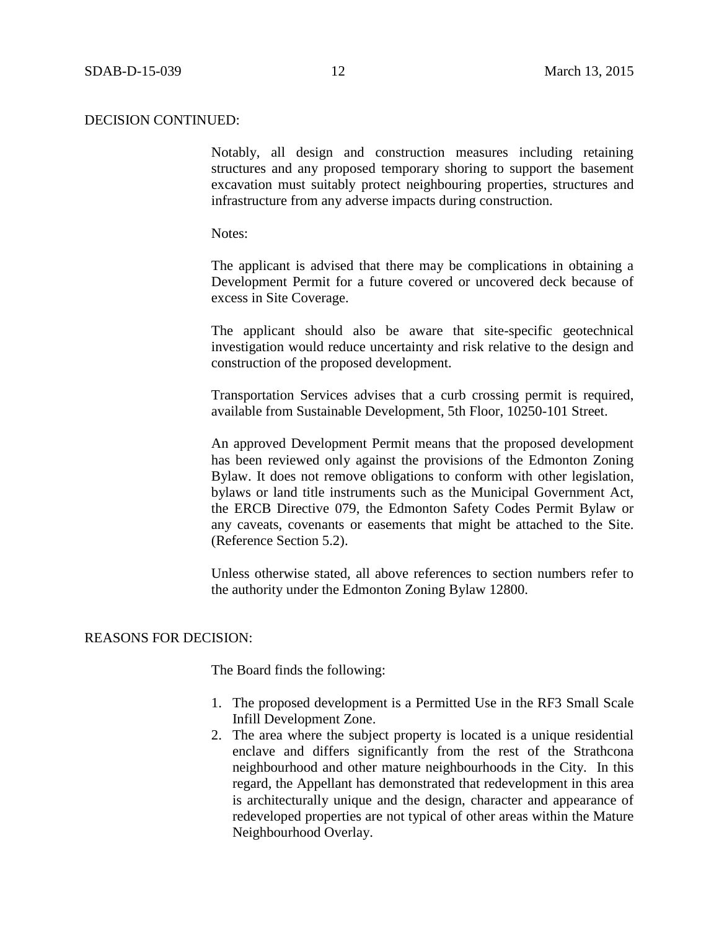Notably, all design and construction measures including retaining structures and any proposed temporary shoring to support the basement excavation must suitably protect neighbouring properties, structures and infrastructure from any adverse impacts during construction.

Notes:

The applicant is advised that there may be complications in obtaining a Development Permit for a future covered or uncovered deck because of excess in Site Coverage.

The applicant should also be aware that site-specific geotechnical investigation would reduce uncertainty and risk relative to the design and construction of the proposed development.

Transportation Services advises that a curb crossing permit is required, available from Sustainable Development, 5th Floor, 10250-101 Street.

An approved Development Permit means that the proposed development has been reviewed only against the provisions of the Edmonton Zoning Bylaw. It does not remove obligations to conform with other legislation, bylaws or land title instruments such as the Municipal Government Act, the ERCB Directive 079, the Edmonton Safety Codes Permit Bylaw or any caveats, covenants or easements that might be attached to the Site. (Reference Section 5.2).

Unless otherwise stated, all above references to section numbers refer to the authority under the Edmonton Zoning Bylaw 12800.

#### REASONS FOR DECISION:

The Board finds the following:

- 1. The proposed development is a Permitted Use in the RF3 Small Scale Infill Development Zone.
- 2. The area where the subject property is located is a unique residential enclave and differs significantly from the rest of the Strathcona neighbourhood and other mature neighbourhoods in the City. In this regard, the Appellant has demonstrated that redevelopment in this area is architecturally unique and the design, character and appearance of redeveloped properties are not typical of other areas within the Mature Neighbourhood Overlay.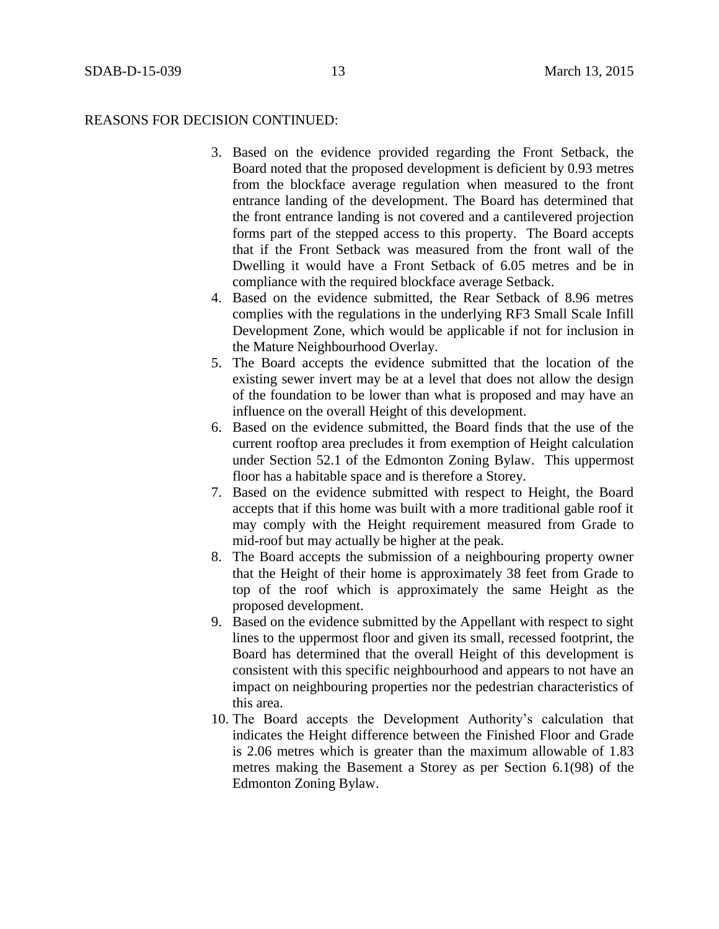### REASONS FOR DECISION CONTINUED:

- 3. Based on the evidence provided regarding the Front Setback, the Board noted that the proposed development is deficient by 0.93 metres from the blockface average regulation when measured to the front entrance landing of the development. The Board has determined that the front entrance landing is not covered and a cantilevered projection forms part of the stepped access to this property. The Board accepts that if the Front Setback was measured from the front wall of the Dwelling it would have a Front Setback of 6.05 metres and be in compliance with the required blockface average Setback.
- 4. Based on the evidence submitted, the Rear Setback of 8.96 metres complies with the regulations in the underlying RF3 Small Scale Infill Development Zone, which would be applicable if not for inclusion in the Mature Neighbourhood Overlay.
- 5. The Board accepts the evidence submitted that the location of the existing sewer invert may be at a level that does not allow the design of the foundation to be lower than what is proposed and may have an influence on the overall Height of this development.
- 6. Based on the evidence submitted, the Board finds that the use of the current rooftop area precludes it from exemption of Height calculation under Section 52.1 of the Edmonton Zoning Bylaw. This uppermost floor has a habitable space and is therefore a Storey.
- 7. Based on the evidence submitted with respect to Height, the Board accepts that if this home was built with a more traditional gable roof it may comply with the Height requirement measured from Grade to mid-roof but may actually be higher at the peak.
- 8. The Board accepts the submission of a neighbouring property owner that the Height of their home is approximately 38 feet from Grade to top of the roof which is approximately the same Height as the proposed development.
- 9. Based on the evidence submitted by the Appellant with respect to sight lines to the uppermost floor and given its small, recessed footprint, the Board has determined that the overall Height of this development is consistent with this specific neighbourhood and appears to not have an impact on neighbouring properties nor the pedestrian characteristics of this area.
- 10. The Board accepts the Development Authority's calculation that indicates the Height difference between the Finished Floor and Grade is 2.06 metres which is greater than the maximum allowable of 1.83 metres making the Basement a Storey as per Section 6.1(98) of the Edmonton Zoning Bylaw.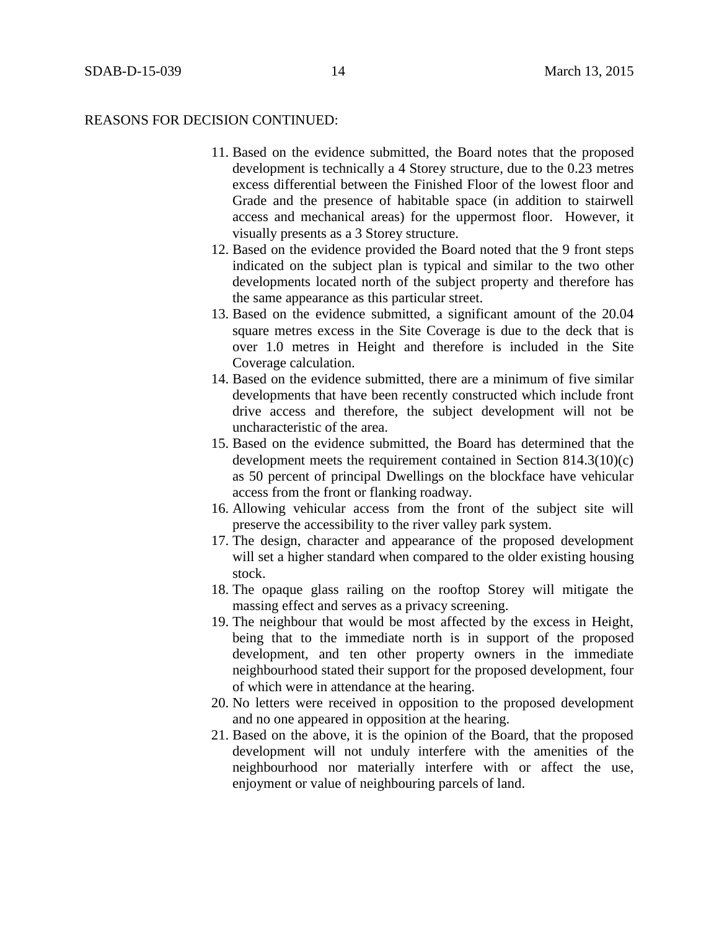#### REASONS FOR DECISION CONTINUED:

- 11. Based on the evidence submitted, the Board notes that the proposed development is technically a 4 Storey structure, due to the 0.23 metres excess differential between the Finished Floor of the lowest floor and Grade and the presence of habitable space (in addition to stairwell access and mechanical areas) for the uppermost floor. However, it visually presents as a 3 Storey structure.
- 12. Based on the evidence provided the Board noted that the 9 front steps indicated on the subject plan is typical and similar to the two other developments located north of the subject property and therefore has the same appearance as this particular street.
- 13. Based on the evidence submitted, a significant amount of the 20.04 square metres excess in the Site Coverage is due to the deck that is over 1.0 metres in Height and therefore is included in the Site Coverage calculation.
- 14. Based on the evidence submitted, there are a minimum of five similar developments that have been recently constructed which include front drive access and therefore, the subject development will not be uncharacteristic of the area.
- 15. Based on the evidence submitted, the Board has determined that the development meets the requirement contained in Section 814.3(10)(c) as 50 percent of principal Dwellings on the blockface have vehicular access from the front or flanking roadway.
- 16. Allowing vehicular access from the front of the subject site will preserve the accessibility to the river valley park system.
- 17. The design, character and appearance of the proposed development will set a higher standard when compared to the older existing housing stock.
- 18. The opaque glass railing on the rooftop Storey will mitigate the massing effect and serves as a privacy screening.
- 19. The neighbour that would be most affected by the excess in Height, being that to the immediate north is in support of the proposed development, and ten other property owners in the immediate neighbourhood stated their support for the proposed development, four of which were in attendance at the hearing.
- 20. No letters were received in opposition to the proposed development and no one appeared in opposition at the hearing.
- 21. Based on the above, it is the opinion of the Board, that the proposed development will not unduly interfere with the amenities of the neighbourhood nor materially interfere with or affect the use, enjoyment or value of neighbouring parcels of land.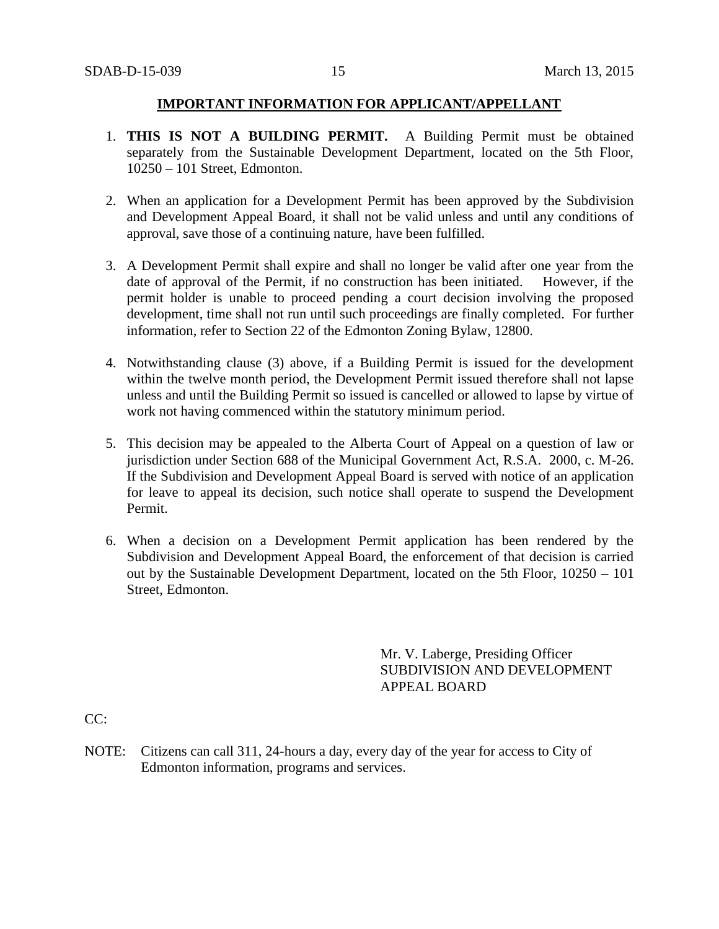## **IMPORTANT INFORMATION FOR APPLICANT/APPELLANT**

- 1. **THIS IS NOT A BUILDING PERMIT.** A Building Permit must be obtained separately from the Sustainable Development Department, located on the 5th Floor, 10250 – 101 Street, Edmonton.
- 2. When an application for a Development Permit has been approved by the Subdivision and Development Appeal Board, it shall not be valid unless and until any conditions of approval, save those of a continuing nature, have been fulfilled.
- 3. A Development Permit shall expire and shall no longer be valid after one year from the date of approval of the Permit, if no construction has been initiated. However, if the permit holder is unable to proceed pending a court decision involving the proposed development, time shall not run until such proceedings are finally completed. For further information, refer to Section 22 of the Edmonton Zoning Bylaw, 12800.
- 4. Notwithstanding clause (3) above, if a Building Permit is issued for the development within the twelve month period, the Development Permit issued therefore shall not lapse unless and until the Building Permit so issued is cancelled or allowed to lapse by virtue of work not having commenced within the statutory minimum period.
- 5. This decision may be appealed to the Alberta Court of Appeal on a question of law or jurisdiction under Section 688 of the Municipal Government Act, R.S.A. 2000, c. M-26. If the Subdivision and Development Appeal Board is served with notice of an application for leave to appeal its decision, such notice shall operate to suspend the Development Permit.
- 6. When a decision on a Development Permit application has been rendered by the Subdivision and Development Appeal Board, the enforcement of that decision is carried out by the Sustainable Development Department, located on the 5th Floor, 10250 – 101 Street, Edmonton.

Mr. V. Laberge, Presiding Officer SUBDIVISION AND DEVELOPMENT APPEAL BOARD

CC:

NOTE: Citizens can call 311, 24-hours a day, every day of the year for access to City of Edmonton information, programs and services.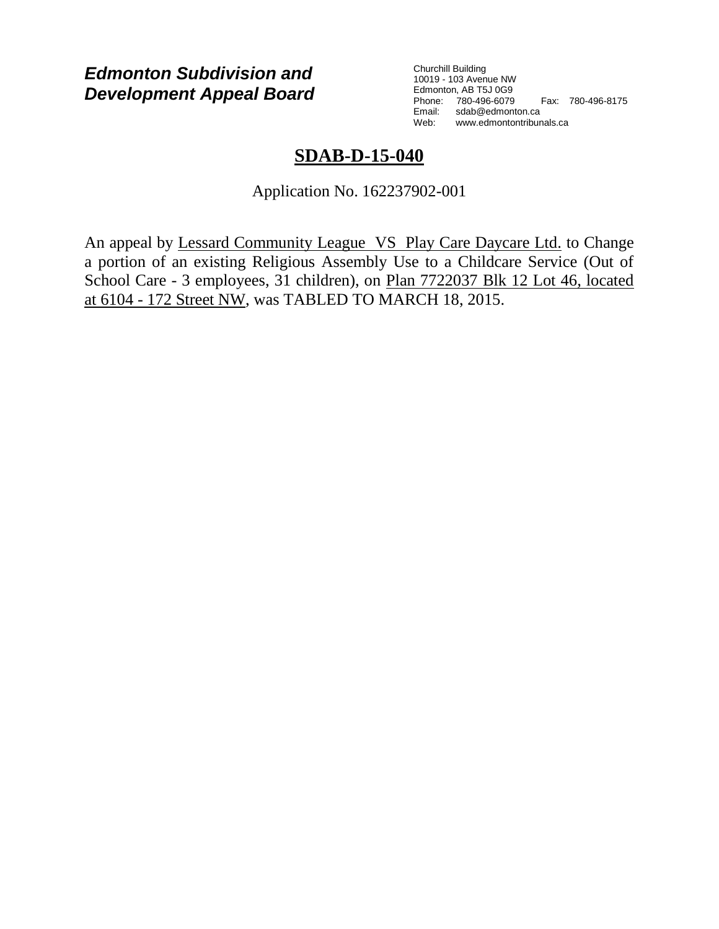# *Edmonton Subdivision and Development Appeal Board*

Churchill Building 10019 - 103 Avenue NW Edmonton, AB T5J 0G9 Phone: 780-496-6079 Fax: 780-496-8175 Email: sdab@edmonton.ca Web: www.edmontontribunals.ca

# **SDAB-D-15-040**

Application No. 162237902-001

An appeal by Lessard Community League VS Play Care Daycare Ltd. to Change a portion of an existing Religious Assembly Use to a Childcare Service (Out of School Care - 3 employees, 31 children), on Plan 7722037 Blk 12 Lot 46, located at 6104 - 172 Street NW, was TABLED TO MARCH 18, 2015.